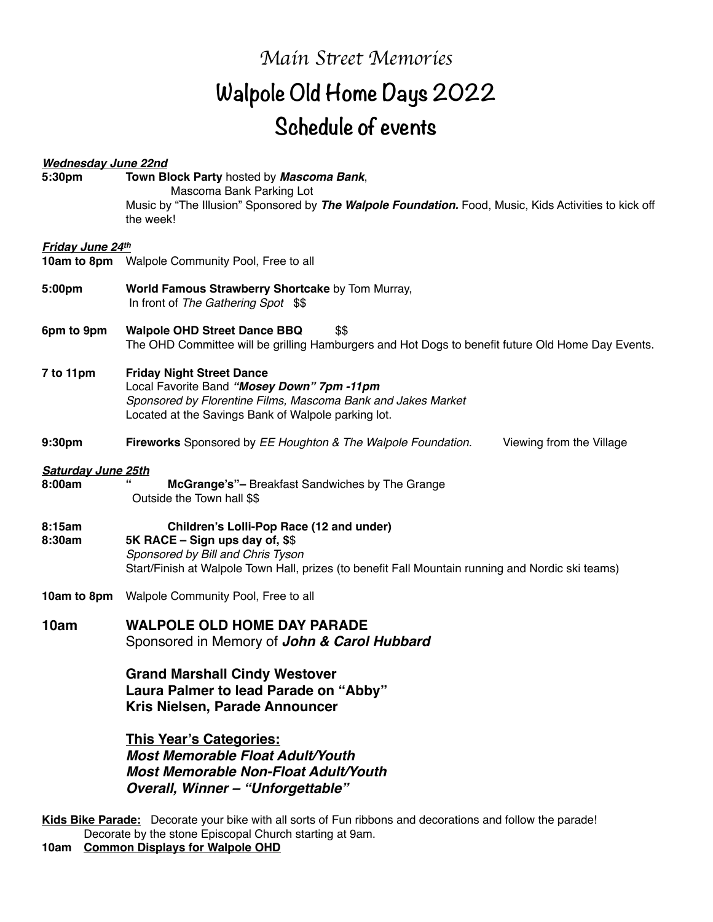## *Main S*tr*eet Memories*

## **Walpole Old Home Days 2022 Schedule of events**

## *Wednesday June 22nd*  **5:30pm Town Block Party** hosted by *Mascoma Bank*, Mascoma Bank Parking Lot Music by "The Illusion" Sponsored by *The Walpole Foundation.* Food, Music, Kids Activities to kick off the week! *Friday June 24th*  **10am to 8pm** Walpole Community Pool, Free to all **5:00pm World Famous Strawberry Shortcake** by Tom Murray, In front of *The Gathering Spot* \$\$ **6pm to 9pm Walpole OHD Street Dance BBQ** \$\$ The OHD Committee will be grilling Hamburgers and Hot Dogs to benefit future Old Home Day Events. **7 to 11pm Friday Night Street Dance** Local Favorite Band *"Mosey Down" 7pm -11pm Sponsored by Florentine Films, Mascoma Bank and Jakes Market*  Located at the Savings Bank of Walpole parking lot. **9:30pm Fireworks** Sponsored by *EE Houghton & The Walpole Foundation.* Viewing from the Village *Saturday June 25th* **8:00am " McGrange's"–** Breakfast Sandwiches by The Grange Outside the Town hall \$\$ **8:15am Children's Lolli-Pop Race (12 and under) 8:30am 5K RACE – Sign ups day of, \$**\$ *Sponsored by Bill and Chris Tyson*  Start/Finish at Walpole Town Hall, prizes (to benefit Fall Mountain running and Nordic ski teams) **10am to 8pm** Walpole Community Pool, Free to all **10am WALPOLE OLD HOME DAY PARADE**  Sponsored in Memory of *John & Carol Hubbard*  **Grand Marshall Cindy Westover Laura Palmer to lead Parade on "Abby" Kris Nielsen, Parade Announcer This Year's Categories:**  *Most Memorable Float Adult/Youth Most Memorable Non-Float Adult/Youth Overall, Winner – "Unforgettable"*

**Kids Bike Parade:** Decorate your bike with all sorts of Fun ribbons and decorations and follow the parade! Decorate by the stone Episcopal Church starting at 9am.

**10am Common Displays for Walpole OHD**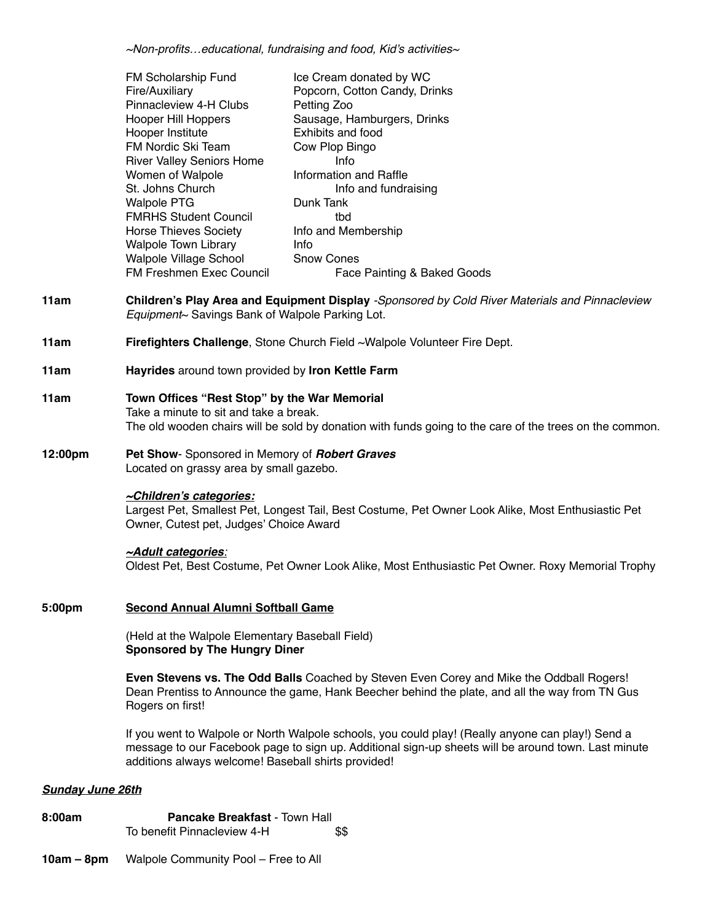*~Non-profits…educational, fundraising and food, Kid's activities~* 

|                         | FM Scholarship Fund                                                                                                                                                                                            | Ice Cream donated by WC                                                                                                                                                                                  |  |
|-------------------------|----------------------------------------------------------------------------------------------------------------------------------------------------------------------------------------------------------------|----------------------------------------------------------------------------------------------------------------------------------------------------------------------------------------------------------|--|
|                         | Fire/Auxiliary<br>Pinnacleview 4-H Clubs                                                                                                                                                                       | Popcorn, Cotton Candy, Drinks<br>Petting Zoo                                                                                                                                                             |  |
|                         | Hooper Hill Hoppers                                                                                                                                                                                            | Sausage, Hamburgers, Drinks                                                                                                                                                                              |  |
|                         | Hooper Institute                                                                                                                                                                                               | Exhibits and food                                                                                                                                                                                        |  |
|                         | FM Nordic Ski Team                                                                                                                                                                                             | Cow Plop Bingo                                                                                                                                                                                           |  |
|                         | <b>River Valley Seniors Home</b>                                                                                                                                                                               | Info                                                                                                                                                                                                     |  |
|                         | Women of Walpole<br>St. Johns Church                                                                                                                                                                           | Information and Raffle<br>Info and fundraising                                                                                                                                                           |  |
|                         | <b>Walpole PTG</b>                                                                                                                                                                                             | Dunk Tank                                                                                                                                                                                                |  |
|                         | <b>FMRHS Student Council</b>                                                                                                                                                                                   | tbd                                                                                                                                                                                                      |  |
|                         | <b>Horse Thieves Society</b>                                                                                                                                                                                   | Info and Membership                                                                                                                                                                                      |  |
|                         | <b>Walpole Town Library</b>                                                                                                                                                                                    | Info                                                                                                                                                                                                     |  |
|                         | Walpole Village School                                                                                                                                                                                         | <b>Snow Cones</b>                                                                                                                                                                                        |  |
|                         | FM Freshmen Exec Council                                                                                                                                                                                       | Face Painting & Baked Goods                                                                                                                                                                              |  |
| 11am                    | Children's Play Area and Equipment Display -Sponsored by Cold River Materials and Pinnacleview<br>Equipment~ Savings Bank of Walpole Parking Lot.                                                              |                                                                                                                                                                                                          |  |
| 11am                    | Firefighters Challenge, Stone Church Field ~Walpole Volunteer Fire Dept.                                                                                                                                       |                                                                                                                                                                                                          |  |
| 11am                    | Hayrides around town provided by Iron Kettle Farm                                                                                                                                                              |                                                                                                                                                                                                          |  |
| 11am                    | Town Offices "Rest Stop" by the War Memorial<br>Take a minute to sit and take a break.<br>The old wooden chairs will be sold by donation with funds going to the care of the trees on the common.              |                                                                                                                                                                                                          |  |
| 12:00pm                 | Pet Show- Sponsored in Memory of Robert Graves<br>Located on grassy area by small gazebo.                                                                                                                      |                                                                                                                                                                                                          |  |
|                         | ~Children's categories:<br>Largest Pet, Smallest Pet, Longest Tail, Best Costume, Pet Owner Look Alike, Most Enthusiastic Pet<br>Owner, Cutest pet, Judges' Choice Award                                       |                                                                                                                                                                                                          |  |
|                         | ~Adult categories:                                                                                                                                                                                             | Oldest Pet, Best Costume, Pet Owner Look Alike, Most Enthusiastic Pet Owner. Roxy Memorial Trophy                                                                                                        |  |
| 5:00pm                  | <b>Second Annual Alumni Softball Game</b><br>(Held at the Walpole Elementary Baseball Field)<br><b>Sponsored by The Hungry Diner</b>                                                                           |                                                                                                                                                                                                          |  |
|                         |                                                                                                                                                                                                                |                                                                                                                                                                                                          |  |
|                         | Even Stevens vs. The Odd Balls Coached by Steven Even Corey and Mike the Oddball Rogers!<br>Dean Prentiss to Announce the game, Hank Beecher behind the plate, and all the way from TN Gus<br>Rogers on first! |                                                                                                                                                                                                          |  |
|                         | additions always welcome! Baseball shirts provided!                                                                                                                                                            | If you went to Walpole or North Walpole schools, you could play! (Really anyone can play!) Send a<br>message to our Facebook page to sign up. Additional sign-up sheets will be around town. Last minute |  |
| <b>Sunday June 26th</b> |                                                                                                                                                                                                                |                                                                                                                                                                                                          |  |
| 8:00am                  | Pancake Breakfast - Town Hall<br>To benefit Pinnacleview 4-H                                                                                                                                                   | \$\$                                                                                                                                                                                                     |  |

**10am – 8pm** Walpole Community Pool – Free to All